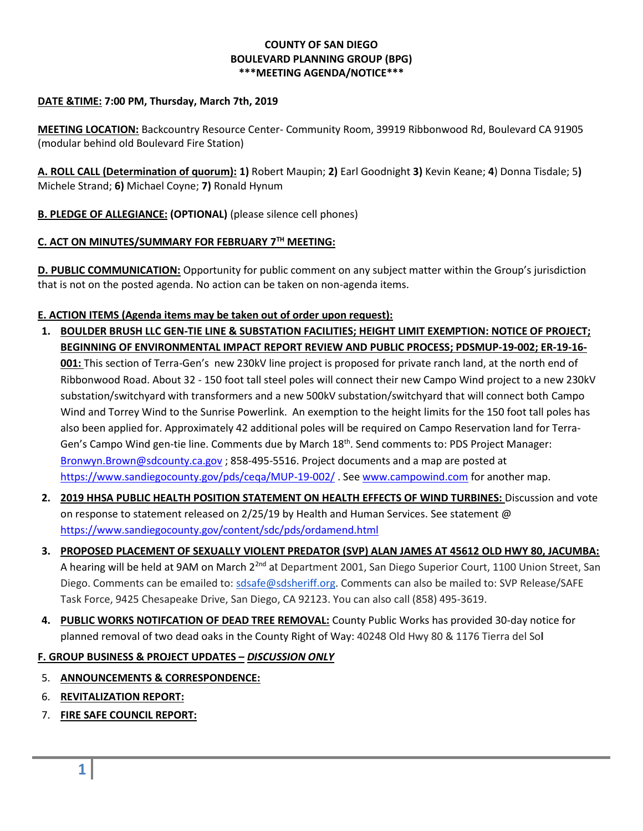### **COUNTY OF SAN DIEGO BOULEVARD PLANNING GROUP (BPG) \*\*\*MEETING AGENDA/NOTICE\*\*\***

### **DATE &TIME: 7:00 PM, Thursday, March 7th, 2019**

**MEETING LOCATION:** Backcountry Resource Center- Community Room, 39919 Ribbonwood Rd, Boulevard CA 91905 (modular behind old Boulevard Fire Station)

**A. ROLL CALL (Determination of quorum): 1)** Robert Maupin; **2)** Earl Goodnight **3)** Kevin Keane; **4**) Donna Tisdale; 5**)**  Michele Strand; **6)** Michael Coyne; **7)** Ronald Hynum

**B. PLEDGE OF ALLEGIANCE: (OPTIONAL)** (please silence cell phones)

# **C. ACT ON MINUTES/SUMMARY FOR FEBRUARY 7 TH MEETING:**

**D. PUBLIC COMMUNICATION:** Opportunity for public comment on any subject matter within the Group's jurisdiction that is not on the posted agenda. No action can be taken on non-agenda items.

### **E. ACTION ITEMS (Agenda items may be taken out of order upon request):**

- **1. BOULDER BRUSH LLC GEN-TIE LINE & SUBSTATION FACILITIES; HEIGHT LIMIT EXEMPTION: NOTICE OF PROJECT; BEGINNING OF ENVIRONMENTAL IMPACT REPORT REVIEW AND PUBLIC PROCESS; PDSMUP-19-002; ER-19-16- 001:** This section of Terra-Gen's new 230kV line project is proposed for private ranch land, at the north end of Ribbonwood Road. About 32 - 150 foot tall steel poles will connect their new Campo Wind project to a new 230kV substation/switchyard with transformers and a new 500kV substation/switchyard that will connect both Campo Wind and Torrey Wind to the Sunrise Powerlink. An exemption to the height limits for the 150 foot tall poles has also been applied for. Approximately 42 additional poles will be required on Campo Reservation land for Terra-Gen's Campo Wind gen-tie line. Comments due by March 18<sup>th</sup>. Send comments to: PDS Project Manager: [Bronwyn.Brown@sdcounty.ca.gov](mailto:Bronwyn.Brown@sdcounty.ca.gov) ; 858-495-5516. Project documents and a map are posted at <https://www.sandiegocounty.gov/pds/ceqa/MUP-19-002/> . See [www.campowind.com](http://www.campowind.com/) for another map.
- **2. 2019 HHSA PUBLIC HEALTH POSITION STATEMENT ON HEALTH EFFECTS OF WIND TURBINES:** Discussion and vote on response to statement released on 2/25/19 by Health and Human Services. See statement @ <https://www.sandiegocounty.gov/content/sdc/pds/ordamend.html>
- **3. PROPOSED PLACEMENT OF SEXUALLY VIOLENT PREDATOR (SVP) ALAN JAMES AT 45612 OLD HWY 80, JACUMBA:**  A hearing will be held at 9AM on March 2<sup>2nd</sup> at Department 2001, San Diego Superior Court, 1100 Union Street, San Diego. Comments can be emailed to: [sdsafe@sdsheriff.org.](mailto:sdsafe@sdsheriff.org) Comments can also be mailed to: SVP Release/SAFE Task Force, 9425 Chesapeake Drive, San Diego, CA 92123. You can also call (858) 495-3619.
- **4. PUBLIC WORKS NOTIFCATION OF DEAD TREE REMOVAL:** County Public Works has provided 30-day notice for planned removal of two dead oaks in the County Right of Way: 40248 Old Hwy 80 & 1176 Tierra del So**l**

# **F. GROUP BUSINESS & PROJECT UPDATES –** *DISCUSSION ONLY*

- 5. **ANNOUNCEMENTS & CORRESPONDENCE:**
- 6. **REVITALIZATION REPORT:**
- 7. **FIRE SAFE COUNCIL REPORT:**